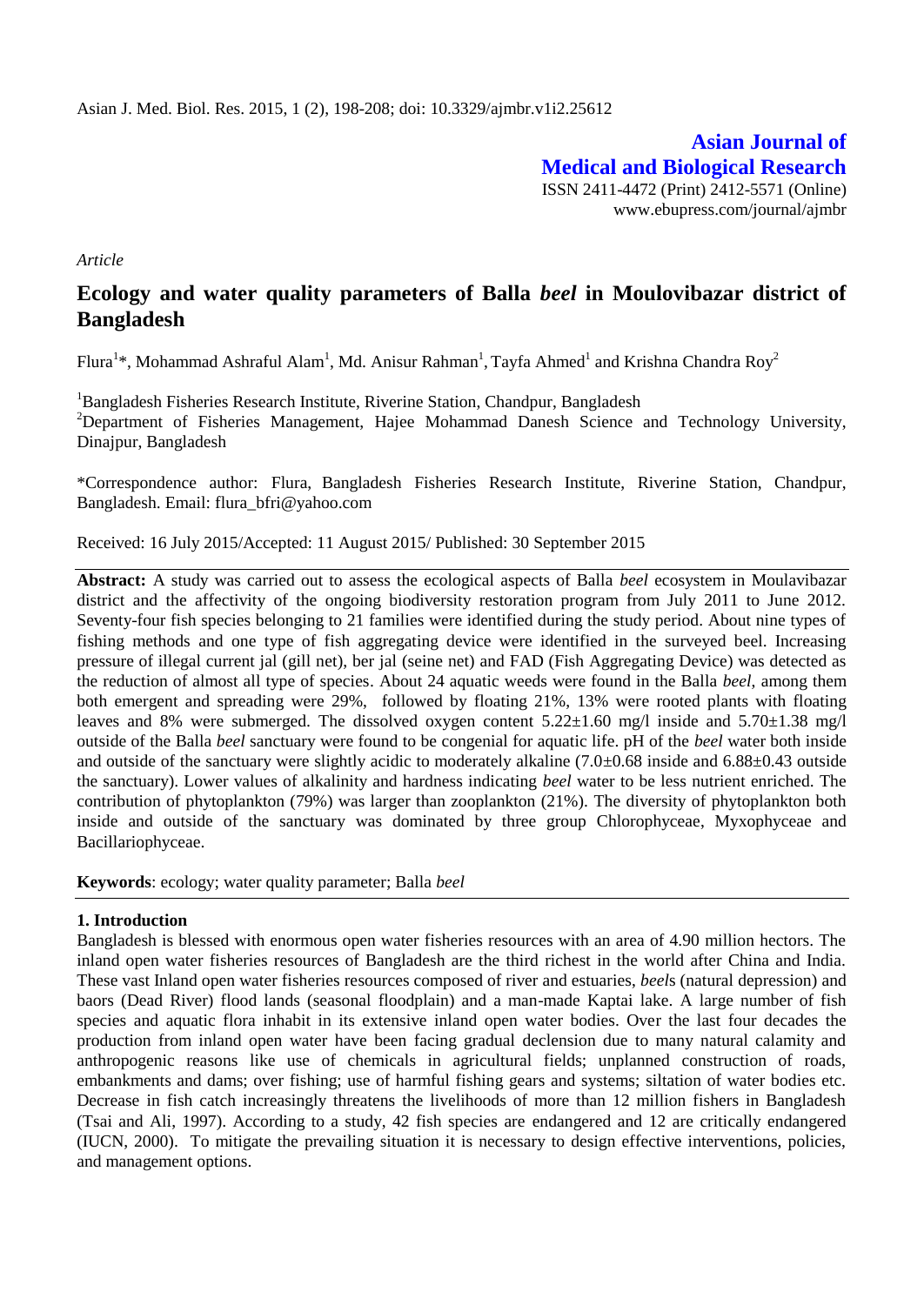**Asian Journal of Medical and Biological Research** ISSN 2411-4472 (Print) 2412-5571 (Online) www.ebupress.com/journal/ajmbr

*Article*

# **Ecology and water quality parameters of Balla** *beel* **in Moulovibazar district of Bangladesh**

Flura<sup>1</sup>\*, Mohammad Ashraful Alam<sup>1</sup>, Md. Anisur Rahman<sup>1</sup>, Tayfa Ahmed<sup>1</sup> and Krishna Chandra Roy<sup>2</sup>

<sup>1</sup>Bangladesh Fisheries Research Institute, Riverine Station, Chandpur, Bangladesh <sup>2</sup>Department of Fisheries Management, Hajee Mohammad Danesh Science and Technology University, Dinajpur, Bangladesh

\*Correspondence author: Flura, Bangladesh Fisheries Research Institute, Riverine Station, Chandpur, Bangladesh. Email: flura\_bfri@yahoo.com

Received: 16 July 2015/Accepted: 11 August 2015/ Published: 30 September 2015

**Abstract:** A study was carried out to assess the ecological aspects of Balla *beel* ecosystem in Moulavibazar district and the affectivity of the ongoing biodiversity restoration program from July 2011 to June 2012. Seventy-four fish species belonging to 21 families were identified during the study period. About nine types of fishing methods and one type of fish aggregating device were identified in the surveyed beel. Increasing pressure of illegal current jal (gill net), ber jal (seine net) and FAD (Fish Aggregating Device) was detected as the reduction of almost all type of species. About 24 aquatic weeds were found in the Balla *beel*, among them both emergent and spreading were 29%, followed by floating 21%, 13% were rooted plants with floating leaves and 8% were submerged. The dissolved oxygen content 5.22±1.60 mg/l inside and 5.70±1.38 mg/l outside of the Balla *beel* sanctuary were found to be congenial for aquatic life. pH of the *beel* water both inside and outside of the sanctuary were slightly acidic to moderately alkaline  $(7.0\pm 0.68$  inside and  $6.88\pm 0.43$  outside the sanctuary). Lower values of alkalinity and hardness indicating *beel* water to be less nutrient enriched. The contribution of phytoplankton (79%) was larger than zooplankton (21%). The diversity of phytoplankton both inside and outside of the sanctuary was dominated by three group Chlorophyceae, Myxophyceae and Bacillariophyceae.

**Keywords**: ecology; water quality parameter; Balla *beel*

## **1. Introduction**

Bangladesh is blessed with enormous open water fisheries resources with an area of 4.90 million hectors. The inland open water fisheries resources of Bangladesh are the third richest in the world after China and India. These vast Inland open water fisheries resources composed of river and estuaries, *beel*s (natural depression) and baors (Dead River) flood lands (seasonal floodplain) and a man-made Kaptai lake. A large number of fish species and aquatic flora inhabit in its extensive inland open water bodies. Over the last four decades the production from inland open water have been facing gradual declension due to many natural calamity and anthropogenic reasons like use of chemicals in agricultural fields; unplanned construction of roads, embankments and dams; over fishing; use of harmful fishing gears and systems; siltation of water bodies etc. Decrease in fish catch increasingly threatens the livelihoods of more than 12 million fishers in Bangladesh (Tsai and Ali, 1997). According to a study, 42 fish species are endangered and 12 are critically endangered (IUCN, 2000). To mitigate the prevailing situation it is necessary to design effective interventions, policies, and management options.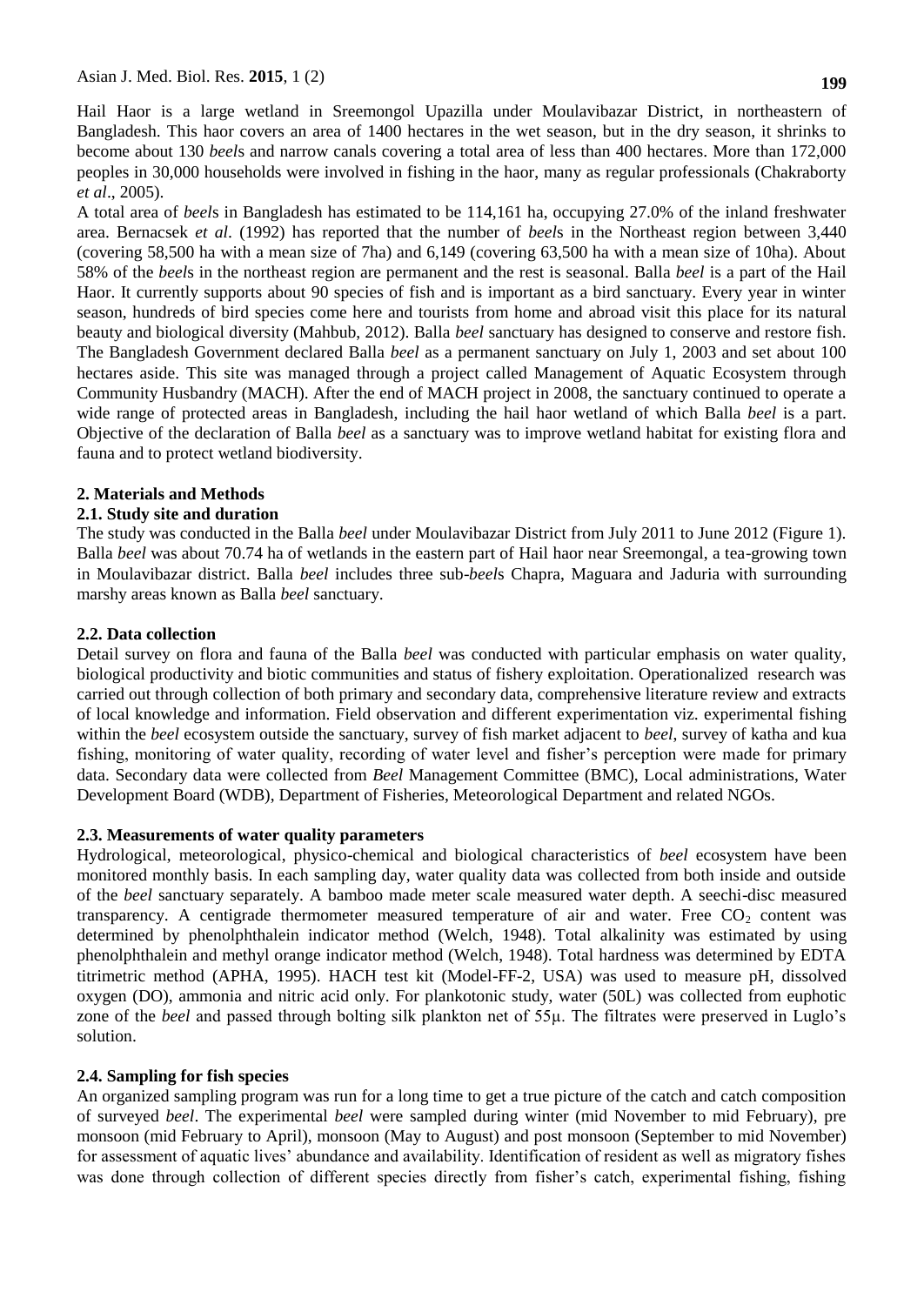Hail Haor is a large wetland in Sreemongol Upazilla under Moulavibazar District, in northeastern of Bangladesh. This haor covers an area of 1400 hectares in the wet season, but in the dry season, it shrinks to become about 130 *beel*s and narrow canals covering a total area of less than 400 hectares. More than 172,000 peoples in 30,000 households were involved in fishing in the haor, many as regular professionals (Chakraborty *et al*., 2005).

A total area of *beel*s in Bangladesh has estimated to be 114,161 ha, occupying 27.0% of the inland freshwater area. Bernacsek *et al*. (1992) has reported that the number of *beel*s in the Northeast region between 3,440 (covering 58,500 ha with a mean size of 7ha) and 6,149 (covering 63,500 ha with a mean size of 10ha). About 58% of the *beel*s in the northeast region are permanent and the rest is seasonal. Balla *beel* is a part of the Hail Haor. It currently supports about 90 species of fish and is important as a bird sanctuary. Every year in winter season, hundreds of bird species come here and tourists from home and abroad visit this place for its natural beauty and biological diversity (Mahbub, 2012). Balla *beel* sanctuary has designed to conserve and restore fish. The Bangladesh Government declared Balla *beel* as a permanent sanctuary on July 1, 2003 and set about 100 hectares aside. This site was managed through a project called Management of Aquatic Ecosystem through Community Husbandry (MACH). After the end of MACH project in 2008, the sanctuary continued to operate a wide range of protected areas in Bangladesh, including the hail haor wetland of which Balla *beel* is a part. Objective of the declaration of Balla *beel* as a sanctuary was to improve wetland habitat for existing flora and fauna and to protect wetland biodiversity.

# **2. Materials and Methods**

## **2.1. Study site and duration**

The study was conducted in the Balla *beel* under Moulavibazar District from July 2011 to June 2012 (Figure 1). Balla *beel* was about 70.74 ha of wetlands in the eastern part of Hail haor near Sreemongal, a tea-growing town in Moulavibazar district. Balla *beel* includes three sub-*beel*s Chapra, Maguara and Jaduria with surrounding marshy areas known as Balla *beel* sanctuary.

## **2.2. Data collection**

Detail survey on flora and fauna of the Balla *beel* was conducted with particular emphasis on water quality, biological productivity and biotic communities and status of fishery exploitation. Operationalized research was carried out through collection of both primary and secondary data, comprehensive literature review and extracts of local knowledge and information. Field observation and different experimentation viz. experimental fishing within the *beel* ecosystem outside the sanctuary, survey of fish market adjacent to *beel*, survey of katha and kua fishing, monitoring of water quality, recording of water level and fisher's perception were made for primary data. Secondary data were collected from *Beel* Management Committee (BMC), Local administrations, Water Development Board (WDB), Department of Fisheries, Meteorological Department and related NGOs.

## **2.3. Measurements of water quality parameters**

Hydrological, meteorological, physico-chemical and biological characteristics of *beel* ecosystem have been monitored monthly basis. In each sampling day, water quality data was collected from both inside and outside of the *beel* sanctuary separately. A bamboo made meter scale measured water depth. A seechi-disc measured transparency. A centigrade thermometer measured temperature of air and water. Free  $CO<sub>2</sub>$  content was determined by phenolphthalein indicator method (Welch, 1948). Total alkalinity was estimated by using phenolphthalein and methyl orange indicator method (Welch, 1948). Total hardness was determined by EDTA titrimetric method (APHA, 1995). HACH test kit (Model-FF-2, USA) was used to measure pH, dissolved oxygen (DO), ammonia and nitric acid only. For plankotonic study, water (50L) was collected from euphotic zone of the *beel* and passed through bolting silk plankton net of 55µ. The filtrates were preserved in Luglo's solution.

# **2.4. Sampling for fish species**

An organized sampling program was run for a long time to get a true picture of the catch and catch composition of surveyed *beel*. The experimental *beel* were sampled during winter (mid November to mid February), pre monsoon (mid February to April), monsoon (May to August) and post monsoon (September to mid November) for assessment of aquatic lives' abundance and availability. Identification of resident as well as migratory fishes was done through collection of different species directly from fisher's catch, experimental fishing, fishing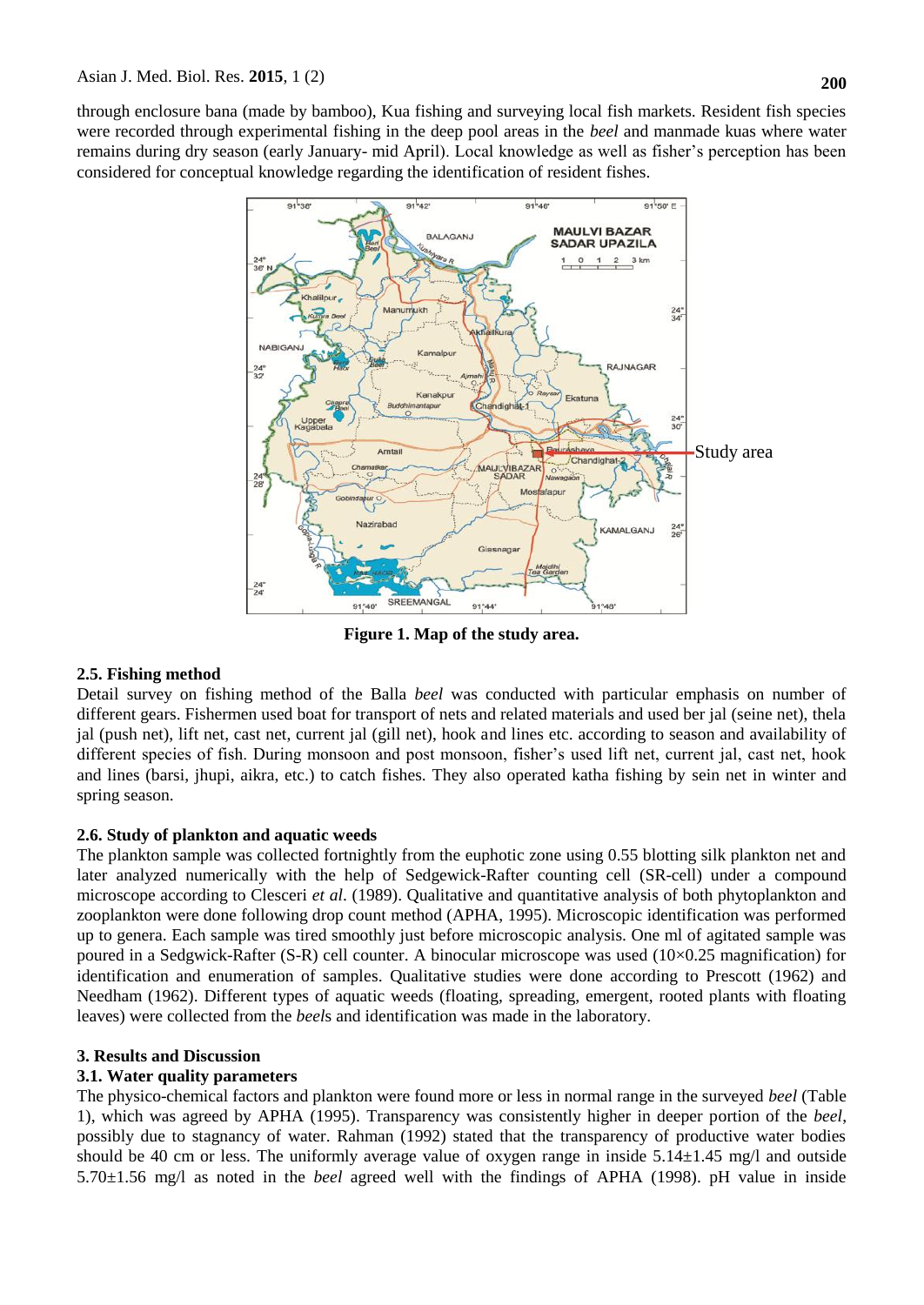through enclosure bana (made by bamboo), Kua fishing and surveying local fish markets. Resident fish species were recorded through experimental fishing in the deep pool areas in the *beel* and manmade kuas where water remains during dry season (early January- mid April). Local knowledge as well as fisher's perception has been considered for conceptual knowledge regarding the identification of resident fishes.



**Figure 1. Map of the study area.**

# **2.5. Fishing method**

Detail survey on fishing method of the Balla *beel* was conducted with particular emphasis on number of different gears. Fishermen used boat for transport of nets and related materials and used ber jal (seine net), thela jal (push net), lift net, cast net, current jal (gill net), hook and lines etc. according to season and availability of different species of fish. During monsoon and post monsoon, fisher's used lift net, current jal, cast net, hook and lines (barsi, jhupi, aikra, etc.) to catch fishes. They also operated katha fishing by sein net in winter and spring season.

# **2.6. Study of plankton and aquatic weeds**

The plankton sample was collected fortnightly from the euphotic zone using 0.55 blotting silk plankton net and later analyzed numerically with the help of Sedgewick-Rafter counting cell (SR-cell) under a compound microscope according to Clesceri *et al*. (1989). Qualitative and quantitative analysis of both phytoplankton and zooplankton were done following drop count method (APHA, 1995). Microscopic identification was performed up to genera. Each sample was tired smoothly just before microscopic analysis. One ml of agitated sample was poured in a Sedgwick-Rafter (S-R) cell counter. A binocular microscope was used (10×0.25 magnification) for identification and enumeration of samples. Qualitative studies were done according to Prescott (1962) and Needham (1962). Different types of aquatic weeds (floating, spreading, emergent, rooted plants with floating leaves) were collected from the *beel*s and identification was made in the laboratory.

# **3. Results and Discussion**

# **3.1. Water quality parameters**

The physico-chemical factors and plankton were found more or less in normal range in the surveyed *beel* (Table 1), which was agreed by APHA (1995). Transparency was consistently higher in deeper portion of the *beel*, possibly due to stagnancy of water. Rahman (1992) stated that the transparency of productive water bodies should be 40 cm or less. The uniformly average value of oxygen range in inside 5.14±1.45 mg/l and outside 5.70±1.56 mg/l as noted in the *beel* agreed well with the findings of APHA (1998). pH value in inside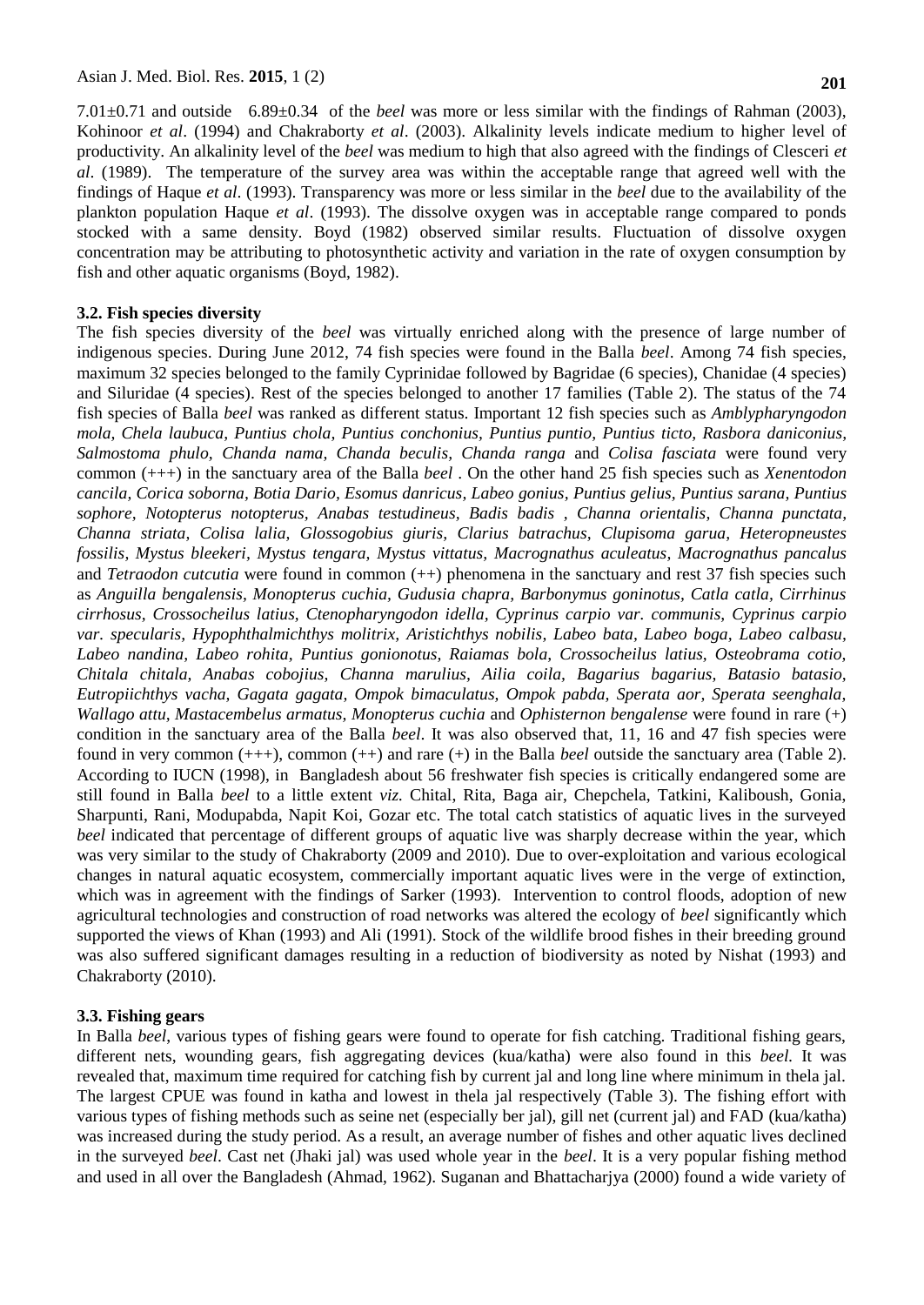7.01±0.71 and outside 6.89±0.34 of the *beel* was more or less similar with the findings of Rahman (2003), Kohinoor *et al*. (1994) and Chakraborty *et al*. (2003). Alkalinity levels indicate medium to higher level of productivity. An alkalinity level of the *beel* was medium to high that also agreed with the findings of Clesceri *et al*. (1989). The temperature of the survey area was within the acceptable range that agreed well with the findings of Haque *et al*. (1993). Transparency was more or less similar in the *beel* due to the availability of the plankton population Haque *et al*. (1993). The dissolve oxygen was in acceptable range compared to ponds stocked with a same density. Boyd (1982) observed similar results. Fluctuation of dissolve oxygen concentration may be attributing to photosynthetic activity and variation in the rate of oxygen consumption by fish and other aquatic organisms (Boyd, 1982).

### **3.2. Fish species diversity**

The fish species diversity of the *beel* was virtually enriched along with the presence of large number of indigenous species. During June 2012, 74 fish species were found in the Balla *beel*. Among 74 fish species, maximum 32 species belonged to the family Cyprinidae followed by Bagridae (6 species), Chanidae (4 species) and Siluridae (4 species). Rest of the species belonged to another 17 families (Table 2). The status of the 74 fish species of Balla *beel* was ranked as different status. Important 12 fish species such as *Amblypharyngodon mola, Chela laubuca, Puntius chola, Puntius conchonius, Puntius puntio, Puntius ticto, Rasbora daniconius, Salmostoma phulo, Chanda nama, Chanda beculis, Chanda ranga* and *Colisa fasciata* were found very common (+++) in the sanctuary area of the Balla *beel* . On the other hand 25 fish species such as *Xenentodon cancila, Corica soborna, Botia Dario, Esomus danricus, Labeo gonius, Puntius gelius, Puntius sarana, Puntius sophore, Notopterus notopterus, Anabas testudineus, Badis badis , Channa orientalis, Channa punctata, Channa striata, Colisa lalia, Glossogobius giuris, Clarius batrachus, Clupisoma garua, Heteropneustes fossilis, Mystus bleekeri, Mystus tengara, Mystus vittatus, Macrognathus aculeatus, Macrognathus pancalus* and *Tetraodon cutcutia* were found in common (++) phenomena in the sanctuary and rest 37 fish species such as *Anguilla bengalensis, Monopterus cuchia, Gudusia chapra, Barbonymus goninotus, Catla catla, Cirrhinus cirrhosus, Crossocheilus latius, Ctenopharyngodon idella, Cyprinus carpio var. communis, Cyprinus carpio var. specularis, Hypophthalmichthys molitrix, Aristichthys nobilis, Labeo bata, Labeo boga, Labeo calbasu, Labeo nandina, Labeo rohita, Puntius gonionotus, Raiamas bola, Crossocheilus latius, Osteobrama cotio, Chitala chitala, Anabas cobojius, Channa marulius, Ailia coila, Bagarius bagarius, Batasio batasio, Eutropiichthys vacha, Gagata gagata, Ompok bimaculatus, Ompok pabda, Sperata aor, Sperata seenghala, Wallago attu, Mastacembelus armatus, Monopterus cuchia* and *Ophisternon bengalense* were found in rare (+) condition in the sanctuary area of the Balla *beel*. It was also observed that, 11, 16 and 47 fish species were found in very common (+++), common (++) and rare (+) in the Balla *beel* outside the sanctuary area (Table 2). According to IUCN (1998), in Bangladesh about 56 freshwater fish species is critically endangered some are still found in Balla *beel* to a little extent *viz.* Chital, Rita, Baga air, Chepchela, Tatkini, Kaliboush, Gonia, Sharpunti, Rani, Modupabda, Napit Koi, Gozar etc. The total catch statistics of aquatic lives in the surveyed *beel* indicated that percentage of different groups of aquatic live was sharply decrease within the year, which was very similar to the study of Chakraborty (2009 and 2010). Due to over-exploitation and various ecological changes in natural aquatic ecosystem, commercially important aquatic lives were in the verge of extinction, which was in agreement with the findings of Sarker (1993). Intervention to control floods, adoption of new agricultural technologies and construction of road networks was altered the ecology of *beel* significantly which supported the views of Khan (1993) and Ali (1991). Stock of the wildlife brood fishes in their breeding ground was also suffered significant damages resulting in a reduction of biodiversity as noted by Nishat (1993) and Chakraborty (2010).

### **3.3. Fishing gears**

In Balla *beel*, various types of fishing gears were found to operate for fish catching. Traditional fishing gears, different nets, wounding gears, fish aggregating devices (kua/katha) were also found in this *beel.* It was revealed that, maximum time required for catching fish by current jal and long line where minimum in thela jal. The largest CPUE was found in katha and lowest in thela jal respectively (Table 3). The fishing effort with various types of fishing methods such as seine net (especially ber jal), gill net (current jal) and FAD (kua/katha) was increased during the study period. As a result, an average number of fishes and other aquatic lives declined in the surveyed *beel*. Cast net (Jhaki jal) was used whole year in the *beel*. It is a very popular fishing method and used in all over the Bangladesh (Ahmad, 1962). Suganan and Bhattacharjya (2000) found a wide variety of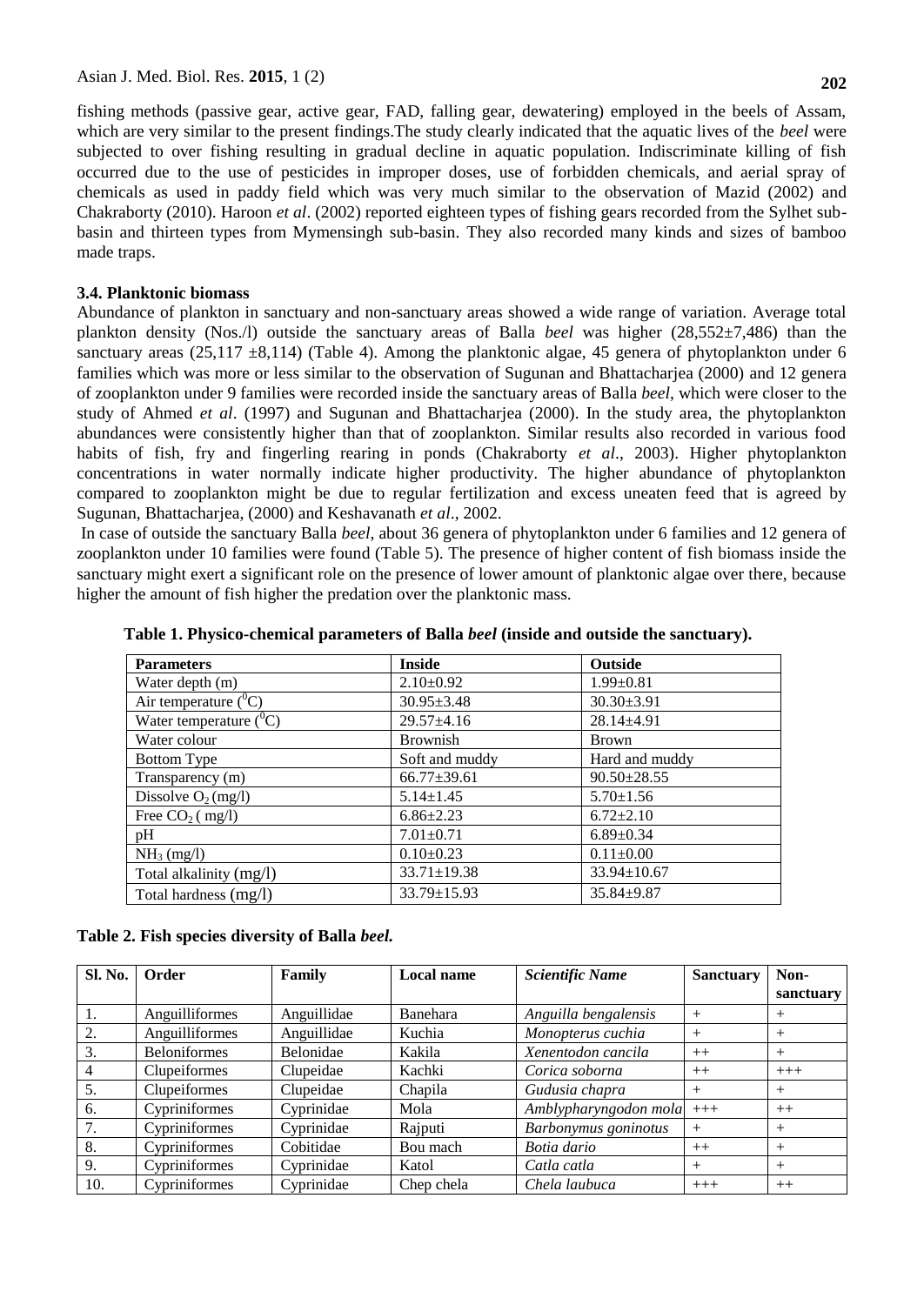fishing methods (passive gear, active gear, FAD, falling gear, dewatering) employed in the beels of Assam, which are very similar to the present findings.The study clearly indicated that the aquatic lives of the *beel* were subjected to over fishing resulting in gradual decline in aquatic population. Indiscriminate killing of fish occurred due to the use of pesticides in improper doses, use of forbidden chemicals, and aerial spray of chemicals as used in paddy field which was very much similar to the observation of Mazid (2002) and Chakraborty (2010). Haroon *et al*. (2002) reported eighteen types of fishing gears recorded from the Sylhet subbasin and thirteen types from Mymensingh sub-basin. They also recorded many kinds and sizes of bamboo made traps.

### **3.4. Planktonic biomass**

Abundance of plankton in sanctuary and non-sanctuary areas showed a wide range of variation. Average total plankton density (Nos./l) outside the sanctuary areas of Balla *beel* was higher (28,552±7,486) than the sanctuary areas (25,117  $\pm 8,114$ ) (Table 4). Among the planktonic algae, 45 genera of phytoplankton under 6 families which was more or less similar to the observation of Sugunan and Bhattacharjea (2000) and 12 genera of zooplankton under 9 families were recorded inside the sanctuary areas of Balla *beel*, which were closer to the study of Ahmed *et al*. (1997) and Sugunan and Bhattacharjea (2000). In the study area, the phytoplankton abundances were consistently higher than that of zooplankton. Similar results also recorded in various food habits of fish, fry and fingerling rearing in ponds (Chakraborty *et al*., 2003). Higher phytoplankton concentrations in water normally indicate higher productivity. The higher abundance of phytoplankton compared to zooplankton might be due to regular fertilization and excess uneaten feed that is agreed by Sugunan, Bhattacharjea, (2000) and Keshavanath *et al*., 2002.

In case of outside the sanctuary Balla *beel*, about 36 genera of phytoplankton under 6 families and 12 genera of zooplankton under 10 families were found (Table 5). The presence of higher content of fish biomass inside the sanctuary might exert a significant role on the presence of lower amount of planktonic algae over there, because higher the amount of fish higher the predation over the planktonic mass.

| <b>Parameters</b>         | <b>Inside</b>     | <b>Outside</b>    |
|---------------------------|-------------------|-------------------|
| Water depth (m)           | $2.10\pm0.92$     | $1.99 \pm 0.81$   |
| Air temperature $(^0C)$   | $30.95 \pm 3.48$  | $30.30 \pm 3.91$  |
| Water temperature $(^0C)$ | $29.57 \pm 4.16$  | $28.14 \pm 4.91$  |
| Water colour              | <b>Brownish</b>   | <b>Brown</b>      |
| Bottom Type               | Soft and muddy    | Hard and muddy    |
| Transparency (m)          | $66.77 \pm 39.61$ | $90.50 \pm 28.55$ |
| Dissolve $O_2(mg/l)$      | $5.14 \pm 1.45$   | $5.70 \pm 1.56$   |
| Free $CO2(mg/l)$          | $6.86 \pm 2.23$   | $6.72 \pm 2.10$   |
| pH                        | $7.01 \pm 0.71$   | $6.89 \pm 0.34$   |
| $NH3$ (mg/l)              | $0.10 \pm 0.23$   | $0.11 \pm 0.00$   |
| Total alkalinity (mg/l)   | $33.71 \pm 19.38$ | $33.94 \pm 10.67$ |
| Total hardness (mg/l)     | 33.79±15.93       | $35.84 \pm 9.87$  |

 **Table 1. Physico-chemical parameters of Balla** *beel* **(inside and outside the sanctuary).**

| Table 2. Fish species diversity of Balla beel. |  |  |  |
|------------------------------------------------|--|--|--|
|------------------------------------------------|--|--|--|

| Sl. No.        | Order               | Family      | Local name | <b>Scientific Name</b> | <b>Sanctuary</b> | Non-      |
|----------------|---------------------|-------------|------------|------------------------|------------------|-----------|
|                |                     |             |            |                        |                  | sanctuary |
| 1.             | Anguilliformes      | Anguillidae | Banehara   | Anguilla bengalensis   | $^{+}$           |           |
| 2.             | Anguilliformes      | Anguillidae | Kuchia     | Monopterus cuchia      | $^{+}$           | $^+$      |
| 3.             | <b>Beloniformes</b> | Belonidae   | Kakila     | Xenentodon cancila     | $++$             | $^{+}$    |
| $\overline{4}$ | Clupeiformes        | Clupeidae   | Kachki     | Corica soborna         | $++$             | $+++$     |
| 5.             | Clupeiformes        | Clupeidae   | Chapila    | Gudusia chapra         | $^{+}$           | $^{+}$    |
| 6.             | Cypriniformes       | Cyprinidae  | Mola       | Amblypharyngodon mola  | $+++$            | $++$      |
| 7.             | Cypriniformes       | Cyprinidae  | Rajputi    | Barbonymus goninotus   | $^{+}$           | $^{+}$    |
| 8.             | Cypriniformes       | Cobitidae   | Bou mach   | Botia dario            | $++$             | $^{+}$    |
| 9.             | Cypriniformes       | Cyprinidae  | Katol      | Catla catla            | $^{+}$           | $\pm$     |
| 10.            | Cypriniformes       | Cyprinidae  | Chep chela | Chela laubuca          | $+++$            | $++$      |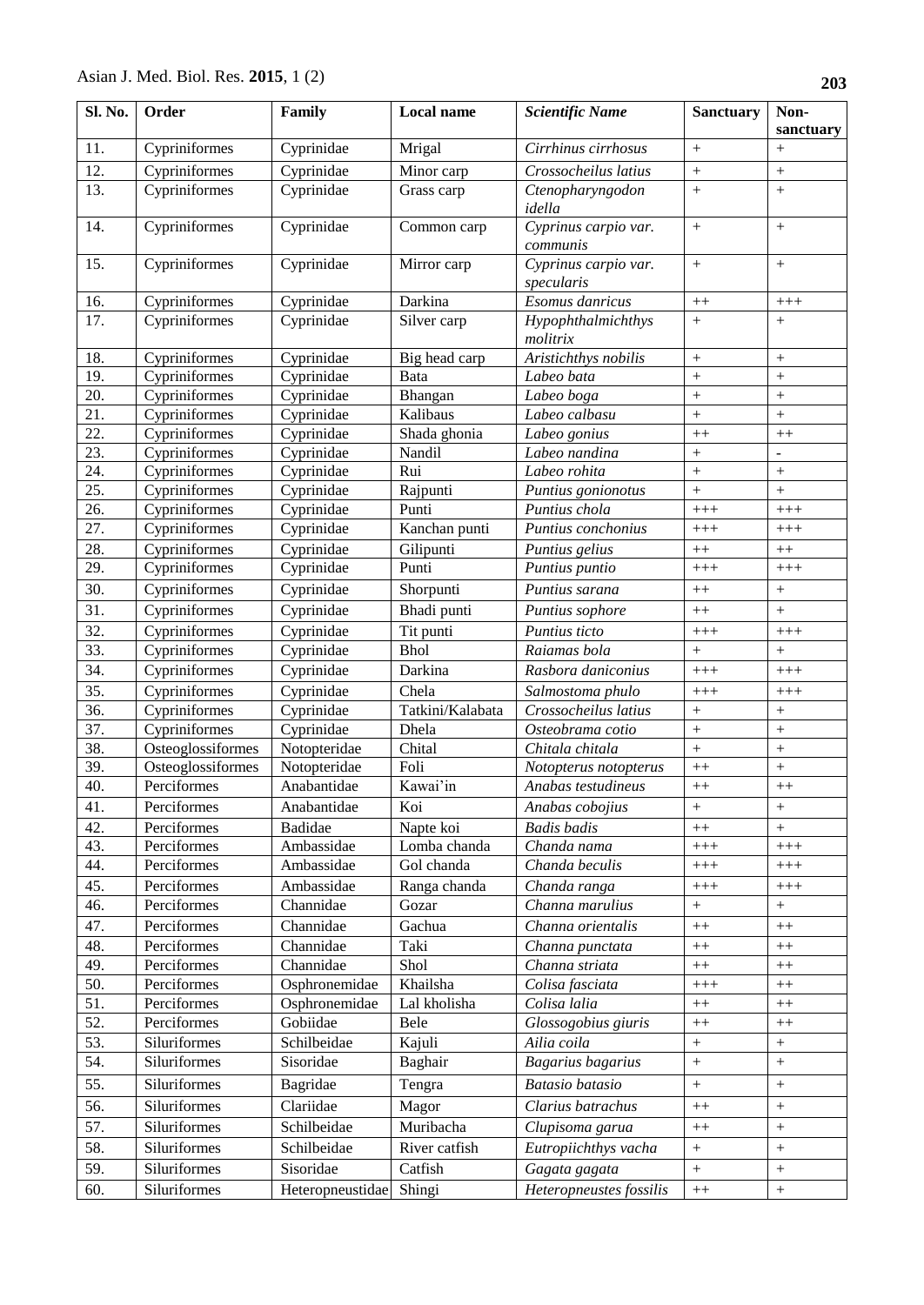| Sl. No.    | Order                              | Family                       | Local name         | <b>Scientific Name</b>                      | <b>Sanctuary</b>  | Non-                |
|------------|------------------------------------|------------------------------|--------------------|---------------------------------------------|-------------------|---------------------|
| 11.        |                                    |                              |                    | Cirrhinus cirrhosus                         | $^{+}$            | sanctuary           |
|            | Cypriniformes                      | Cyprinidae                   | Mrigal             |                                             |                   | $+$                 |
| 12.        | Cypriniformes                      | Cyprinidae                   | Minor carp         | Crossocheilus latius                        | $\boldsymbol{+}$  | $\boldsymbol{+}$    |
| 13.        | Cypriniformes                      | Cyprinidae                   | Grass carp         | Ctenopharyngodon<br>idella                  | $^{+}$            | $\ddot{}$           |
| 14.        | Cypriniformes                      | Cyprinidae                   | Common carp        | Cyprinus carpio var.                        | $\boldsymbol{+}$  | $\qquad \qquad +$   |
|            |                                    |                              |                    | communis                                    |                   |                     |
| 15.        | Cypriniformes                      | Cyprinidae                   | Mirror carp        | Cyprinus carpio var.                        | $\boldsymbol{+}$  | $\qquad \qquad +$   |
|            |                                    |                              |                    | specularis                                  |                   |                     |
| 16.        | Cypriniformes                      | Cyprinidae                   | Darkina            | Esomus danricus                             | $+$               | $^{+++}$            |
| 17.        | Cypriniformes                      | Cyprinidae                   | Silver carp        | Hypophthalmichthys                          | $\ddot{}$         | $\! +$              |
|            |                                    |                              |                    | molitrix                                    |                   |                     |
| 18.        | Cypriniformes                      | Cyprinidae                   | Big head carp      | Aristichthys nobilis                        | $\qquad \qquad +$ | $\! + \!$           |
| 19.        | Cypriniformes                      | Cyprinidae                   | Bata               | Labeo bata                                  | $^{+}$            | $\ddot{}$           |
| 20.        | Cypriniformes                      | Cyprinidae                   | Bhangan            | Labeo boga                                  | $\ddot{}$         |                     |
| 21.        | Cypriniformes                      | Cyprinidae                   | Kalibaus           | Labeo calbasu                               | $\ddot{}$         | $\ddot{}$           |
| 22.        | Cypriniformes                      | Cyprinidae                   | Shada ghonia       | Labeo gonius                                | $\qquad \qquad +$ | $^{++}\,$           |
| 23.        | Cypriniformes                      | Cyprinidae                   | Nandil             | Labeo nandina                               | $\qquad \qquad +$ | $\frac{1}{2}$       |
| 24.        | Cypriniformes                      | Cyprinidae                   | Rui                | Labeo rohita                                | $\ddot{}$         | $\ddot{}$           |
| 25.        | Cypriniformes                      | Cyprinidae                   | Rajpunti           | Puntius gonionotus                          | $^{+}$            | $\ddot{}$           |
| 26.<br>27. | Cypriniformes                      | Cyprinidae                   | Punti              | Puntius chola                               | $^{+++}$          | $+++$               |
|            | Cypriniformes                      | Cyprinidae                   | Kanchan punti      | Puntius conchonius                          | $^{+++}$          | $^{+++}$            |
| 28.<br>29. | Cypriniformes                      | Cyprinidae                   | Gilipunti<br>Punti | Puntius gelius                              | $^{++}$           | $^{++}\,$           |
|            | Cypriniformes                      | Cyprinidae                   |                    | Puntius puntio                              | $+++$             | $+++$               |
| 30.        | Cypriniformes                      | Cyprinidae                   | Shorpunti          | Puntius sarana                              | $++$              | $+$                 |
| 31.        | Cypriniformes                      | Cyprinidae                   | Bhadi punti        | Puntius sophore                             | $++$              | $\ddot{}$           |
| 32.        | Cypriniformes                      | Cyprinidae                   | Tit punti          | Puntius ticto                               | $+++$             | $++++$              |
| 33.        | Cypriniformes                      | Cyprinidae                   | <b>Bhol</b>        | Raiamas bola                                | $+$               | $+$                 |
| 34.        | Cypriniformes                      | Cyprinidae                   | Darkina            | Rasbora daniconius                          | $+++$             | $+++$               |
| 35.        | Cypriniformes                      | Cyprinidae                   | Chela              | Salmostoma phulo                            | $+++$             | $++++$              |
| 36.        | Cypriniformes                      | Cyprinidae                   | Tatkini/Kalabata   | Crossocheilus latius                        | $\boldsymbol{+}$  | $\! + \!$           |
| 37.<br>38. | Cypriniformes<br>Osteoglossiformes | Cyprinidae                   | Dhela<br>Chital    | Osteobrama cotio<br>Chitala chitala         | $\qquad \qquad +$ | $\ddot{}$           |
| 39.        | Osteoglossiformes                  | Notopteridae<br>Notopteridae | Foli               |                                             | $\qquad \qquad +$ | $\ddot{}$           |
| 40.        | Perciformes                        | Anabantidae                  | Kawai'in           | Notopterus notopterus<br>Anabas testudineus | $^{++}$<br>$++$   | $\boldsymbol{++}$   |
| 41.        | Perciformes                        | Anabantidae                  | Koi                | Anabas cobojius                             | $+$               | $\! +$              |
| 42.        | Perciformes                        | <b>Badidae</b>               | Napte koi          | <b>Badis</b> badis                          | $++$              | $+$                 |
| 43.        | Perciformes                        | Ambassidae                   | Lomba chanda       | Chanda nama                                 | $+++$             | $^{+++}$            |
| 44.        | Perciformes                        | Ambassidae                   | Gol chanda         | Chanda beculis                              | $+++$             | $+++$               |
| 45.        | Perciformes                        | Ambassidae                   | Ranga chanda       | Chanda ranga                                | $^{+++}$          | $^{+++}$            |
| 46.        | Perciformes                        | Channidae                    | Gozar              | Channa marulius                             | $^{+}$            | $+$                 |
| 47.        | Perciformes                        | Channidae                    | Gachua             | Channa orientalis                           | $^{++}$           | $^{++}\,$           |
| 48.        | Perciformes                        | Channidae                    | Taki               | Channa punctata                             | $^{++}$           | $^{++}$             |
| 49.        | Perciformes                        | Channidae                    | Shol               | Channa striata                              | $++$              | $\qquad \qquad + +$ |
| 50.        | Perciformes                        | Osphronemidae                | Khailsha           | Colisa fasciata                             | $+++$             | $^{++}$             |
| 51.        | Perciformes                        | Osphronemidae                | Lal kholisha       | Colisa lalia                                | $++$              | $^{++}$             |
| 52.        | Perciformes                        | Gobiidae                     | Bele               | Glossogobius giuris                         | $^{++}$           | $++$                |
| 53.        | Siluriformes                       | Schilbeidae                  | Kajuli             | Ailia coila                                 | $\qquad \qquad +$ | $\! + \!$           |
| 54.        | Siluriformes                       | Sisoridae                    | Baghair            | Bagarius bagarius                           | $\qquad \qquad +$ | $\boldsymbol{+}$    |
| 55.        | Siluriformes                       | Bagridae                     | Tengra             | <b>Batasio</b> batasio                      | $\qquad \qquad +$ | $\, +$              |
| 56.        | Siluriformes                       | Clariidae                    | Magor              | Clarius batrachus                           | $++$              |                     |
| 57.        | Siluriformes                       | Schilbeidae                  | Muribacha          | Clupisoma garua                             | $++$              | $\boldsymbol{+}$    |
| 58.        | Siluriformes                       | Schilbeidae                  | River catfish      | Eutropiichthys vacha                        | $+$               | $\, +$              |
| 59.        | Siluriformes                       | Sisoridae                    | Catfish            | Gagata gagata                               | $\qquad \qquad +$ | $\ddot{}$           |
| 60.        | Siluriformes                       | Heteropneustidae             | Shingi             | Heteropneustes fossilis                     | $^{++}$           |                     |
|            |                                    |                              |                    |                                             |                   |                     |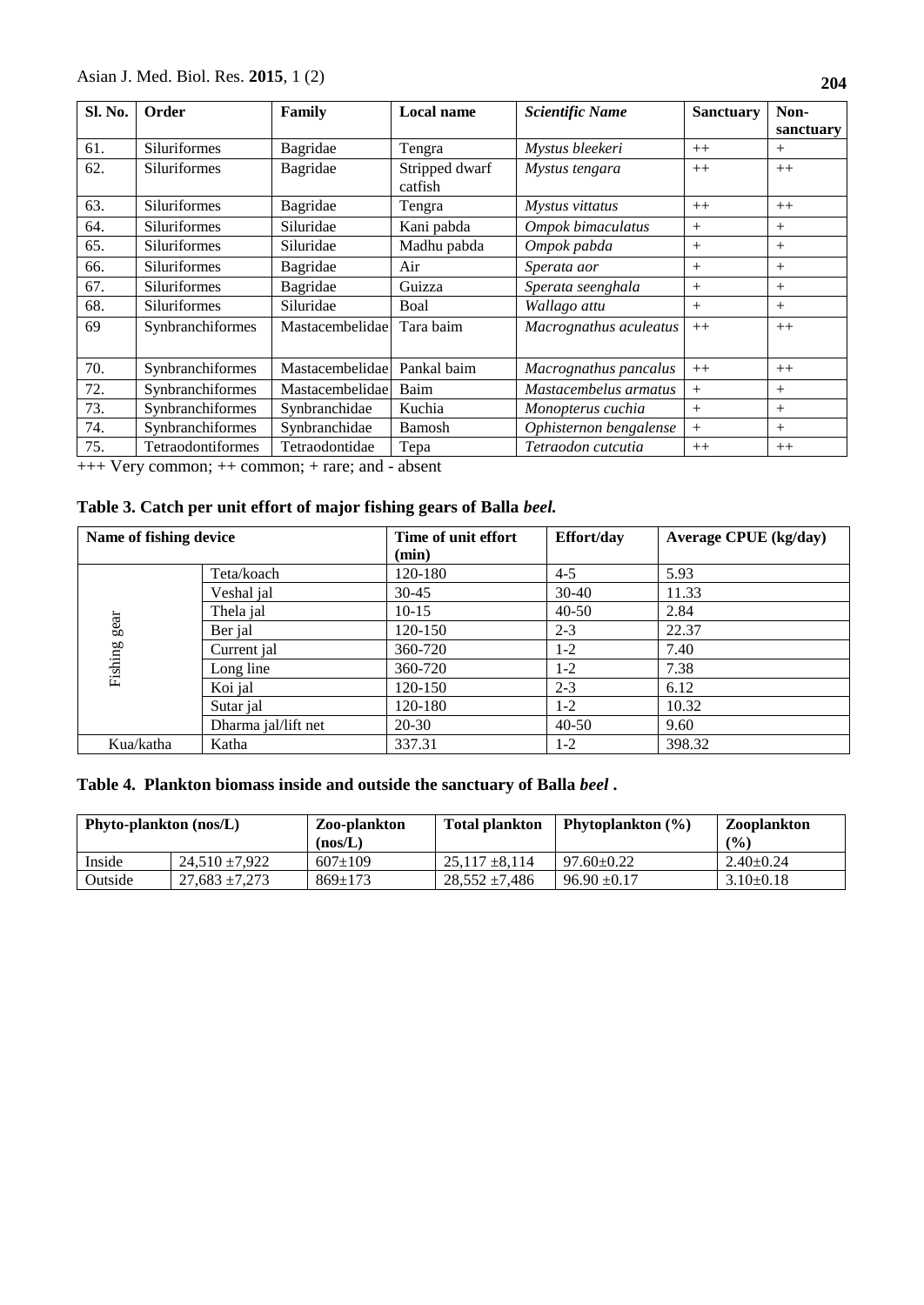| Sl. No. | Order               | Family          | Local name     | <b>Scientific Name</b> | <b>Sanctuary</b> | Non-      |
|---------|---------------------|-----------------|----------------|------------------------|------------------|-----------|
|         |                     |                 |                |                        |                  | sanctuary |
| 61.     | Siluriformes        | Bagridae        | Tengra         | Mystus bleekeri        | $++$             | $+$       |
| 62.     | <b>Siluriformes</b> | Bagridae        | Stripped dwarf | Mystus tengara         | $++$             | $++$      |
|         |                     |                 | catfish        |                        |                  |           |
| 63.     | <b>Siluriformes</b> | Bagridae        | Tengra         | Mystus vittatus        | $++$             | $++$      |
| 64.     | <b>Siluriformes</b> | Siluridae       | Kani pabda     | Ompok bimaculatus      | $^{+}$           | $+$       |
| 65.     | <b>Siluriformes</b> | Siluridae       | Madhu pabda    | Ompok pabda            | $^{+}$           | $+$       |
| 66.     | <b>Siluriformes</b> | Bagridae        | Air            | Sperata aor            | $^{+}$           | $^{+}$    |
| 67.     | Siluriformes        | Bagridae        | Guizza         | Sperata seenghala      | $^{+}$           | $+$       |
| 68.     | Siluriformes        | Siluridae       | Boal           | Wallago attu           | $+$              | $+$       |
| 69      | Synbranchiformes    | Mastacembelidae | Tara baim      | Macrognathus aculeatus | $++$             | $++$      |
|         |                     |                 |                |                        |                  |           |
| 70.     | Synbranchiformes    | Mastacembelidae | Pankal baim    | Macrognathus pancalus  | $++$             | $++$      |
| 72.     | Synbranchiformes    | Mastacembelidae | Baim           | Mastacembelus armatus  | $^{+}$           | $+$       |
| 73.     | Synbranchiformes    | Synbranchidae   | Kuchia         | Monopterus cuchia      | $^{+}$           | $+$       |
| 74.     | Synbranchiformes    | Synbranchidae   | Bamosh         | Ophisternon bengalense | $^{+}$           | $+$       |
| 75.     | Tetraodontiformes   | Tetraodontidae  | Tepa           | Tetraodon cutcutia     | $++$             | $++$      |

 $+++$  Very common;  $++$  common;  $+$  rare; and  $-$  absent

# **Table 3. Catch per unit effort of major fishing gears of Balla** *beel.*

| Name of fishing device |                     | Time of unit effort | <b>Effort/day</b> | <b>Average CPUE (kg/day)</b> |
|------------------------|---------------------|---------------------|-------------------|------------------------------|
|                        |                     | (min)               |                   |                              |
|                        | Teta/koach          | 120-180             | $4 - 5$           | 5.93                         |
|                        | Veshal jal          | $30 - 45$           | $30-40$           | 11.33                        |
|                        | Thela jal           | $10-15$             | $40 - 50$         | 2.84                         |
| gear                   | Ber jal             | 120-150             | $2 - 3$           | 22.37                        |
|                        | Current jal         | 360-720             | $1-2$             | 7.40                         |
| Fishing                | Long line           | 360-720             | 1-2               | 7.38                         |
|                        | Koi jal             | 120-150             | $2 - 3$           | 6.12                         |
|                        | Sutar jal           | 120-180             | $1-2$             | 10.32                        |
|                        | Dharma jal/lift net | $20-30$             | $40 - 50$         | 9.60                         |
| Kua/katha              | Katha               | 337.31              | 1-2               | 398.32                       |

# **Table 4. Plankton biomass inside and outside the sanctuary of Balla** *beel* **.**

| Phyto-plankton (nos/L) |                    | Zoo-plankton<br>(nos/L) | <b>Total plankton</b> | Phytoplankton $(\% )$ | <b>Zooplankton</b><br>(%) |
|------------------------|--------------------|-------------------------|-----------------------|-----------------------|---------------------------|
| Inside                 | $24.510 \pm 7.922$ | $607 \pm 109$           | $25.117 \pm 8.114$    | $97.60 \pm 0.22$      | $2.40 \pm 0.24$           |
| Outside                | $27.683 \pm 7.273$ | $869 \pm 173$           | $28.552 \pm 7.486$    | $96.90 \pm 0.17$      | $3.10\pm0.18$             |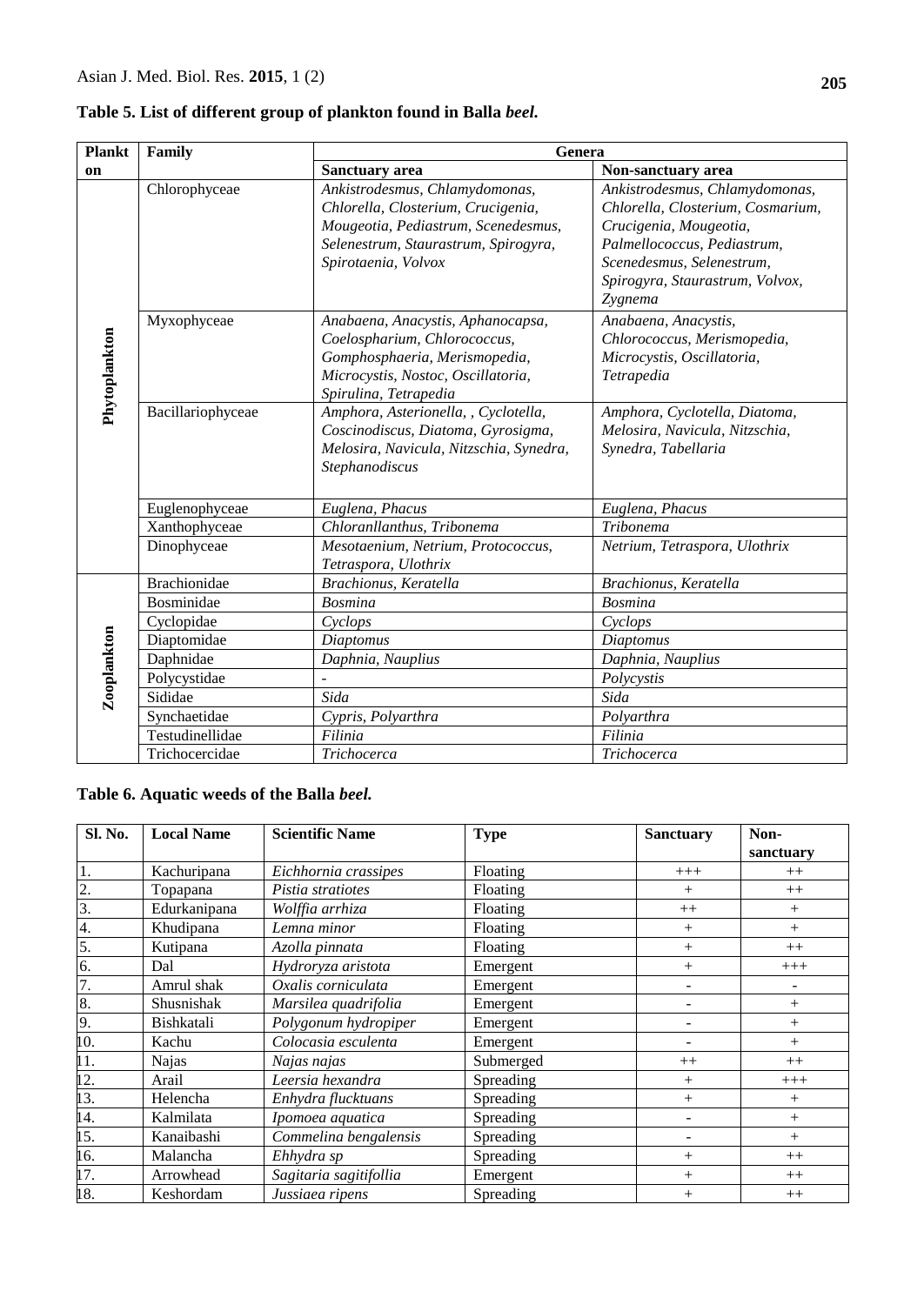|  | Table 5. List of different group of plankton found in Balla beel. |
|--|-------------------------------------------------------------------|
|--|-------------------------------------------------------------------|

| <b>Plankt</b>      | Family                                                                                                                                                       | Genera                                                                                                                                                                     |                                                                                                                                                                                                         |  |  |  |
|--------------------|--------------------------------------------------------------------------------------------------------------------------------------------------------------|----------------------------------------------------------------------------------------------------------------------------------------------------------------------------|---------------------------------------------------------------------------------------------------------------------------------------------------------------------------------------------------------|--|--|--|
| on                 |                                                                                                                                                              | <b>Sanctuary</b> area                                                                                                                                                      | Non-sanctuary area                                                                                                                                                                                      |  |  |  |
|                    | Chlorophyceae                                                                                                                                                | Ankistrodesmus, Chlamydomonas,<br>Chlorella, Closterium, Crucigenia,<br>Mougeotia, Pediastrum, Scenedesmus,<br>Selenestrum, Staurastrum, Spirogyra,<br>Spirotaenia, Volvox | Ankistrodesmus, Chlamydomonas,<br>Chlorella, Closterium, Cosmarium,<br>Crucigenia, Mougeotia,<br>Palmellococcus, Pediastrum,<br>Scenedesmus, Selenestrum,<br>Spirogyra, Staurastrum, Volvox,<br>Zygnema |  |  |  |
| Phytoplankton      | Myxophyceae                                                                                                                                                  | Anabaena, Anacystis, Aphanocapsa,<br>Coelospharium, Chlorococcus,<br>Gomphosphaeria, Merismopedia,<br>Microcystis, Nostoc, Oscillatoria,<br>Spirulina, Tetrapedia          | Anabaena, Anacystis,<br>Chlorococcus, Merismopedia,<br>Microcystis, Oscillatoria,<br>Tetrapedia                                                                                                         |  |  |  |
|                    | Bacillariophyceae<br>Amphora, Asterionella, , Cyclotella,<br>Coscinodiscus, Diatoma, Gyrosigma,<br>Melosira, Navicula, Nitzschia, Synedra,<br>Stephanodiscus |                                                                                                                                                                            | Amphora, Cyclotella, Diatoma,<br>Melosira, Navicula, Nitzschia,<br>Synedra, Tabellaria                                                                                                                  |  |  |  |
|                    | Euglenophyceae                                                                                                                                               | Euglena, Phacus                                                                                                                                                            | Euglena, Phacus                                                                                                                                                                                         |  |  |  |
|                    | Xanthophyceae                                                                                                                                                | Chloranllanthus, Tribonema                                                                                                                                                 | <b>Tribonema</b>                                                                                                                                                                                        |  |  |  |
|                    | Dinophyceae                                                                                                                                                  | Mesotaenium, Netrium, Protococcus,<br>Tetraspora, Ulothrix                                                                                                                 | Netrium, Tetraspora, Ulothrix                                                                                                                                                                           |  |  |  |
|                    | <b>Brachionidae</b>                                                                                                                                          | Brachionus, Keratella                                                                                                                                                      | Brachionus, Keratella                                                                                                                                                                                   |  |  |  |
|                    | Bosminidae                                                                                                                                                   | <b>Bosmina</b>                                                                                                                                                             | <b>Bosmina</b>                                                                                                                                                                                          |  |  |  |
|                    | Cyclopidae                                                                                                                                                   | Cyclops                                                                                                                                                                    | Cyclops                                                                                                                                                                                                 |  |  |  |
| <b>Zooplankton</b> | Diaptomidae                                                                                                                                                  | Diaptomus                                                                                                                                                                  | Diaptomus                                                                                                                                                                                               |  |  |  |
|                    | Daphnidae                                                                                                                                                    | Daphnia, Nauplius                                                                                                                                                          | Daphnia, Nauplius                                                                                                                                                                                       |  |  |  |
|                    | Polycystidae                                                                                                                                                 |                                                                                                                                                                            | Polycystis                                                                                                                                                                                              |  |  |  |
|                    | Sididae                                                                                                                                                      | Sida                                                                                                                                                                       | Sida                                                                                                                                                                                                    |  |  |  |
|                    | Synchaetidae                                                                                                                                                 | Cypris, Polyarthra                                                                                                                                                         | Polyarthra                                                                                                                                                                                              |  |  |  |
|                    | Testudinellidae                                                                                                                                              | Filinia                                                                                                                                                                    | Filinia                                                                                                                                                                                                 |  |  |  |
|                    | Trichocercidae                                                                                                                                               | Trichocerca                                                                                                                                                                | Trichocerca                                                                                                                                                                                             |  |  |  |

# **Table 6. Aquatic weeds of the Balla** *beel.*

| Sl. No.        | <b>Local Name</b> | <b>Scientific Name</b> | <b>Type</b> | <b>Sanctuary</b> | Non-<br>sanctuary |
|----------------|-------------------|------------------------|-------------|------------------|-------------------|
| 1.             | Kachuripana       | Eichhornia crassipes   | Floating    | $+++$            | $++$              |
| $\overline{2}$ | Topapana          | Pistia stratiotes      | Floating    | $^{+}$           | $++$              |
| 3.             | Edurkanipana      | Wolffia arrhiza        | Floating    | $++$             | $+$               |
| 4.             | Khudipana         | Lemna minor            | Floating    | $^{+}$           | $^{+}$            |
| 5.             | Kutipana          | Azolla pinnata         | Floating    | $^{+}$           | $++$              |
| 6.             | Dal               | Hydroryza aristota     | Emergent    | $^{+}$           | $+++$             |
| 7.             | Amrul shak        | Oxalis corniculata     | Emergent    |                  |                   |
| 8.             | Shusnishak        | Marsilea quadrifolia   | Emergent    |                  | $^{+}$            |
| 9.             | Bishkatali        | Polygonum hydropiper   | Emergent    |                  | $^{+}$            |
| 10.            | Kachu             | Colocasia esculenta    | Emergent    |                  | $^{+}$            |
| 11.            | Najas             | Najas najas            | Submerged   | $++$             | $++$              |
| 12.            | Arail             | Leersia hexandra       | Spreading   | $^{+}$           | $+++$             |
| 13.            | Helencha          | Enhydra flucktuans     | Spreading   | $^{+}$           | $^{+}$            |
| 14.            | Kalmilata         | Ipomoea aquatica       | Spreading   |                  | $^{+}$            |
| 15.            | Kanaibashi        | Commelina bengalensis  | Spreading   |                  | $^{+}$            |
| 16.            | Malancha          | Ehhydra sp             | Spreading   | $^{+}$           | $++$              |
| 17.            | Arrowhead         | Sagitaria sagitifollia | Emergent    | $^{+}$           | $^{++}$           |
| 18.            | Keshordam         | Jussiaea ripens        | Spreading   |                  | $++$              |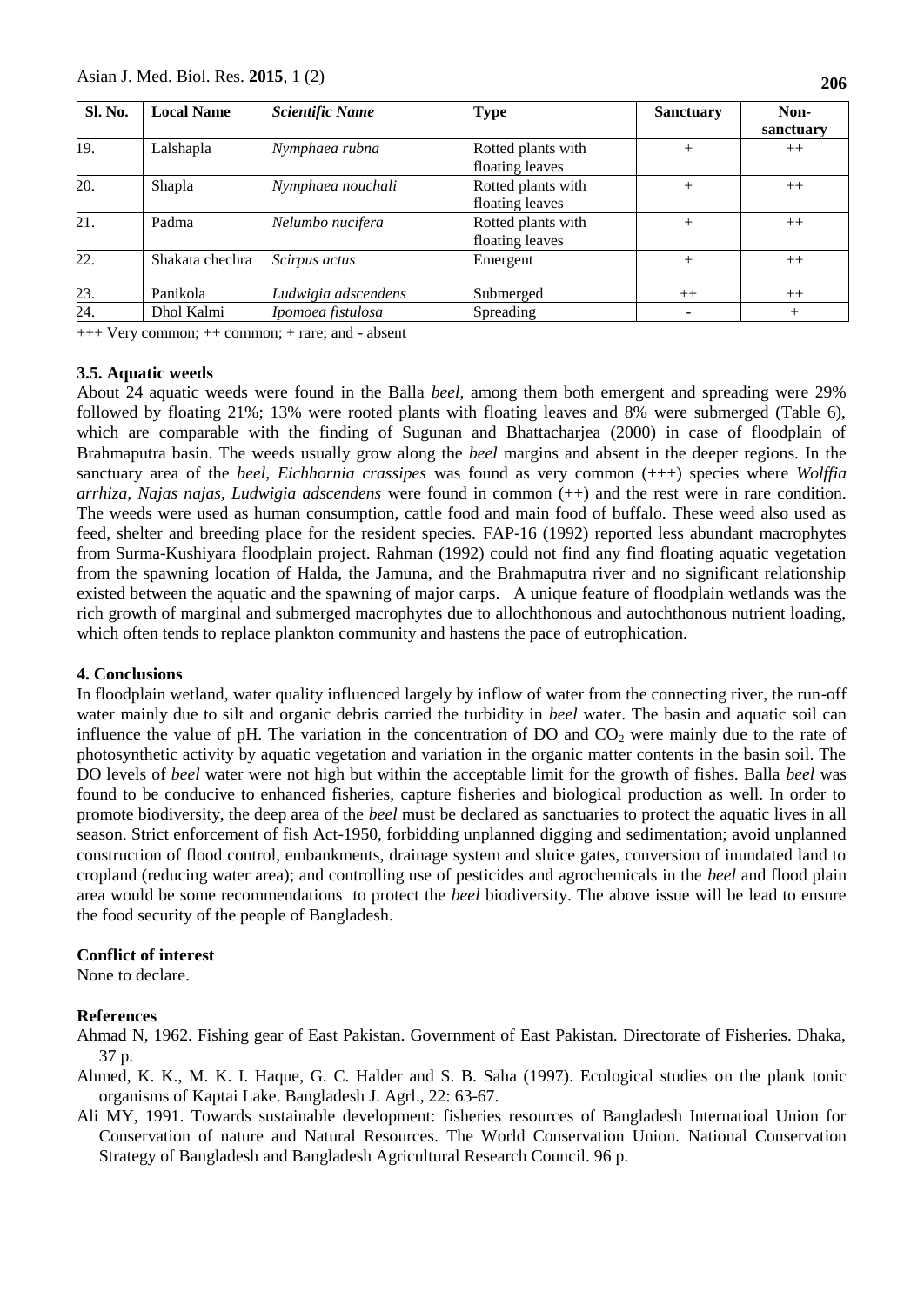| <b>Sl. No.</b> | <b>Local Name</b> | <b>Scientific Name</b> | <b>Type</b>                           | <b>Sanctuary</b> | Non-<br>sanctuary |
|----------------|-------------------|------------------------|---------------------------------------|------------------|-------------------|
| 19.            | Lalshapla         | Nymphaea rubna         | Rotted plants with<br>floating leaves |                  | $++$              |
| 20.            | Shapla            | Nymphaea nouchali      | Rotted plants with<br>floating leaves |                  | $++$              |
| 21.            | Padma             | Nelumbo nucifera       | Rotted plants with<br>floating leaves |                  | $++$              |
| 22.            | Shakata chechra   | Scirpus actus          | Emergent                              | $^{+}$           | $++$              |
| 23.            | Panikola          | Ludwigia adscendens    | Submerged                             | $++$             | $++$              |
| 24.            | Dhol Kalmi        | Ipomoea fistulosa      | Spreading                             |                  |                   |

+++ Very common; ++ common; + rare; and - absent

#### **3.5. Aquatic weeds**

About 24 aquatic weeds were found in the Balla *beel*, among them both emergent and spreading were 29% followed by floating 21%; 13% were rooted plants with floating leaves and 8% were submerged (Table 6), which are comparable with the finding of Sugunan and Bhattacharjea (2000) in case of floodplain of Brahmaputra basin. The weeds usually grow along the *beel* margins and absent in the deeper regions. In the sanctuary area of the *beel*, *Eichhornia crassipes* was found as very common (+++) species where *Wolffia arrhiza, Najas najas, Ludwigia adscendens* were found in common (++) and the rest were in rare condition. The weeds were used as human consumption, cattle food and main food of buffalo. These weed also used as feed, shelter and breeding place for the resident species. FAP-16 (1992) reported less abundant macrophytes from Surma-Kushiyara floodplain project. Rahman (1992) could not find any find floating aquatic vegetation from the spawning location of Halda, the Jamuna, and the Brahmaputra river and no significant relationship existed between the aquatic and the spawning of major carps. A unique feature of floodplain wetlands was the rich growth of marginal and submerged macrophytes due to allochthonous and autochthonous nutrient loading, which often tends to replace plankton community and hastens the pace of eutrophication.

### **4. Conclusions**

In floodplain wetland, water quality influenced largely by inflow of water from the connecting river, the run-off water mainly due to silt and organic debris carried the turbidity in *beel* water. The basin and aquatic soil can influence the value of pH. The variation in the concentration of DO and  $CO<sub>2</sub>$  were mainly due to the rate of photosynthetic activity by aquatic vegetation and variation in the organic matter contents in the basin soil. The DO levels of *beel* water were not high but within the acceptable limit for the growth of fishes. Balla *beel* was found to be conducive to enhanced fisheries, capture fisheries and biological production as well. In order to promote biodiversity, the deep area of the *beel* must be declared as sanctuaries to protect the aquatic lives in all season. Strict enforcement of fish Act-1950, forbidding unplanned digging and sedimentation; avoid unplanned construction of flood control, embankments, drainage system and sluice gates, conversion of inundated land to cropland (reducing water area); and controlling use of pesticides and agrochemicals in the *beel* and flood plain area would be some recommendations to protect the *beel* biodiversity. The above issue will be lead to ensure the food security of the people of Bangladesh.

#### **Conflict of interest**

None to declare.

### **References**

Ahmad N, 1962. Fishing gear of East Pakistan. Government of East Pakistan. Directorate of Fisheries. Dhaka, 37 p.

- Ahmed, K. K., M. K. I. Haque, G. C. Halder and S. B. Saha (1997). Ecological studies on the plank tonic organisms of Kaptai Lake. Bangladesh J. Agrl., 22: 63-67.
- Ali MY, 1991. Towards sustainable development: fisheries resources of Bangladesh Internatioal Union for Conservation of nature and Natural Resources. The World Conservation Union. National Conservation Strategy of Bangladesh and Bangladesh Agricultural Research Council. 96 p.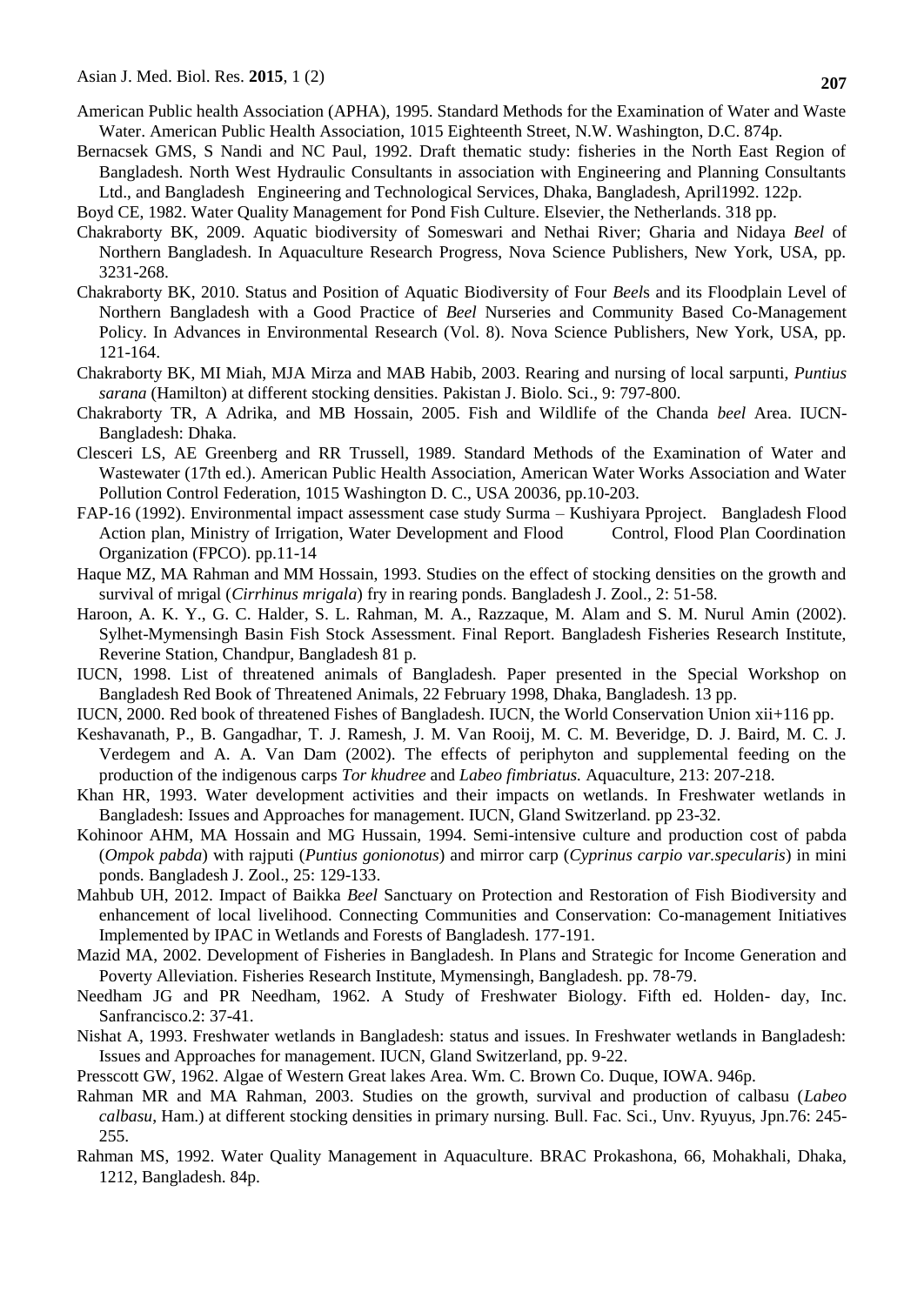- American Public health Association (APHA), 1995. Standard Methods for the Examination of Water and Waste Water. American Public Health Association, 1015 Eighteenth Street, N.W. Washington, D.C. 874p.
- Bernacsek GMS, S Nandi and NC Paul, 1992. Draft thematic study: fisheries in the North East Region of Bangladesh. North West Hydraulic Consultants in association with Engineering and Planning Consultants Ltd., and Bangladesh Engineering and Technological Services, Dhaka, Bangladesh, April1992. 122p.
- Boyd CE, 1982. Water Quality Management for Pond Fish Culture. Elsevier, the Netherlands. 318 pp.
- Chakraborty BK, 2009. Aquatic biodiversity of Someswari and Nethai River; Gharia and Nidaya *Beel* of Northern Bangladesh. In Aquaculture Research Progress, Nova Science Publishers, New York, USA, pp. 3231-268.
- Chakraborty BK, 2010. Status and Position of Aquatic Biodiversity of Four *Beel*s and its Floodplain Level of Northern Bangladesh with a Good Practice of *Beel* Nurseries and Community Based Co-Management Policy. In Advances in Environmental Research (Vol. 8). Nova Science Publishers, New York, USA, pp. 121-164.
- Chakraborty BK, MI Miah, MJA Mirza and MAB Habib, 2003. Rearing and nursing of local sarpunti, *Puntius sarana* (Hamilton) at different stocking densities. Pakistan J. Biolo. Sci., 9: 797-800.
- Chakraborty TR, A Adrika, and MB Hossain, 2005. Fish and Wildlife of the Chanda *beel* Area. IUCN-Bangladesh: Dhaka.
- Clesceri LS, AE Greenberg and RR Trussell, 1989. Standard Methods of the Examination of Water and Wastewater (17th ed.). American Public Health Association, American Water Works Association and Water Pollution Control Federation, 1015 Washington D. C., USA 20036, pp.10-203.
- FAP-16 (1992). Environmental impact assessment case study Surma Kushiyara Pproject. Bangladesh Flood Action plan, Ministry of Irrigation, Water Development and Flood Control, Flood Plan Coordination Organization (FPCO). pp.11-14
- Haque MZ, MA Rahman and MM Hossain, 1993. Studies on the effect of stocking densities on the growth and survival of mrigal (*Cirrhinus mrigala*) fry in rearing ponds. Bangladesh J. Zool., 2: 51-58.
- Haroon, A. K. Y., G. C. Halder, S. L. Rahman, M. A., Razzaque, M. Alam and S. M. Nurul Amin (2002). Sylhet-Mymensingh Basin Fish Stock Assessment. Final Report. Bangladesh Fisheries Research Institute, Reverine Station, Chandpur, Bangladesh 81 p.
- IUCN, 1998. List of threatened animals of Bangladesh. Paper presented in the Special Workshop on Bangladesh Red Book of Threatened Animals, 22 February 1998, Dhaka, Bangladesh. 13 pp.
- IUCN, 2000. Red book of threatened Fishes of Bangladesh. IUCN, the World Conservation Union xii+116 pp.
- Keshavanath, P., B. Gangadhar, T. J. Ramesh, J. M. Van Rooij, M. C. M. Beveridge, D. J. Baird, M. C. J. Verdegem and A. A. Van Dam (2002). The effects of periphyton and supplemental feeding on the production of the indigenous carps *Tor khudree* and *Labeo fimbriatus.* Aquaculture, 213: 207-218.
- Khan HR, 1993. Water development activities and their impacts on wetlands. In Freshwater wetlands in Bangladesh: Issues and Approaches for management. IUCN, Gland Switzerland. pp 23-32.
- Kohinoor AHM, MA Hossain and MG Hussain, 1994. Semi-intensive culture and production cost of pabda (*Ompok pabda*) with rajputi (*Puntius gonionotus*) and mirror carp (*Cyprinus carpio var.specularis*) in mini ponds. Bangladesh J. Zool., 25: 129-133.
- Mahbub UH, 2012. Impact of Baikka *Beel* Sanctuary on Protection and Restoration of Fish Biodiversity and enhancement of local livelihood. Connecting Communities and Conservation: Co-management Initiatives Implemented by IPAC in Wetlands and Forests of Bangladesh. 177-191.
- Mazid MA, 2002. Development of Fisheries in Bangladesh. In Plans and Strategic for Income Generation and Poverty Alleviation. Fisheries Research Institute, Mymensingh, Bangladesh. pp. 78-79.
- Needham JG and PR Needham, 1962. A Study of Freshwater Biology. Fifth ed. Holden- day, Inc. Sanfrancisco.2: 37-41.
- Nishat A, 1993. Freshwater wetlands in Bangladesh: status and issues. In Freshwater wetlands in Bangladesh: Issues and Approaches for management. IUCN, Gland Switzerland, pp. 9-22.
- Presscott GW, 1962. Algae of Western Great lakes Area. Wm. C. Brown Co. Duque, IOWA. 946p.
- Rahman MR and MA Rahman, 2003. Studies on the growth, survival and production of calbasu (*Labeo calbasu*, Ham.) at different stocking densities in primary nursing. Bull. Fac. Sci., Unv. Ryuyus, Jpn.76: 245- 255.
- Rahman MS, 1992. Water Quality Management in Aquaculture. BRAC Prokashona, 66, Mohakhali, Dhaka, 1212, Bangladesh. 84p.